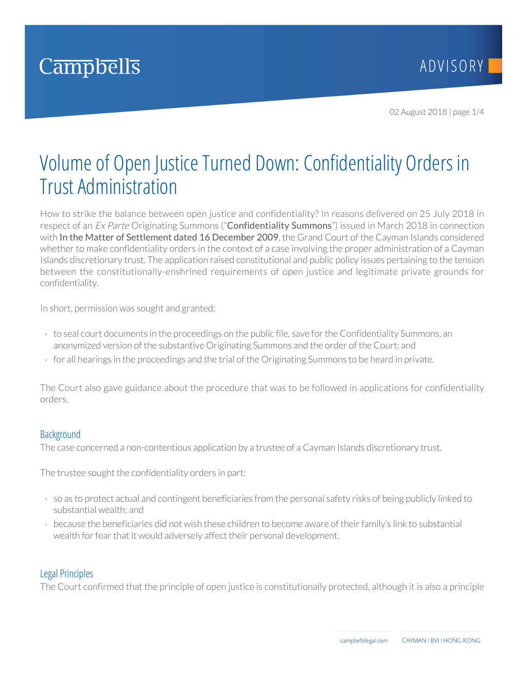

02 August 2018 | page 1/4

# Volume of Open Justice Turned Down: Confidentiality Orders in Trust Administration

How to strike the balance between open justice and confidentiality? In reasons delivered on 25 July 2018 in respect of an *Ex Parte* Originating Summons ("**Confidentiality Summons**") issued in March 2018 in connection with In the Matter of Settlement dated 16 December 2009, the Grand Court of the Cayman Islands considered whether to make confidentiality orders in the context of a case involving the proper administration of a Cayman Islands discretionary trust. The application raised constitutional and public policy issues pertaining to the tension between the constitutionally-enshrined requirements of open justice and legitimate private grounds for confidentiality.

In short, permission was sought and granted:

- to seal court documents in the proceedings on the public file, save for the Confidentiality Summons, an anonymized version of the substantive Originating Summons and the order of the Court; and
- for all hearings in the proceedings and the trial of the Originating Summons to be heard in private.

The Court also gave guidance about the procedure that was to be followed in applications for confidentiality orders.

## **Background**

The case concerned a non-contentious application by a trustee of a Cayman Islands discretionary trust.

The trustee sought the confidentiality orders in part:

- so as to protect actual and contingent beneficiaries from the personal safety risks of being publicly linked to substantial wealth; and
- because the beneficiaries did not wish these children to become aware of their family's link to substantial wealth for fear that it would adversely affect their personal development.

## Legal Principles

The Court confirmed that the principle of open justice is constitutionally protected, although it is also a principle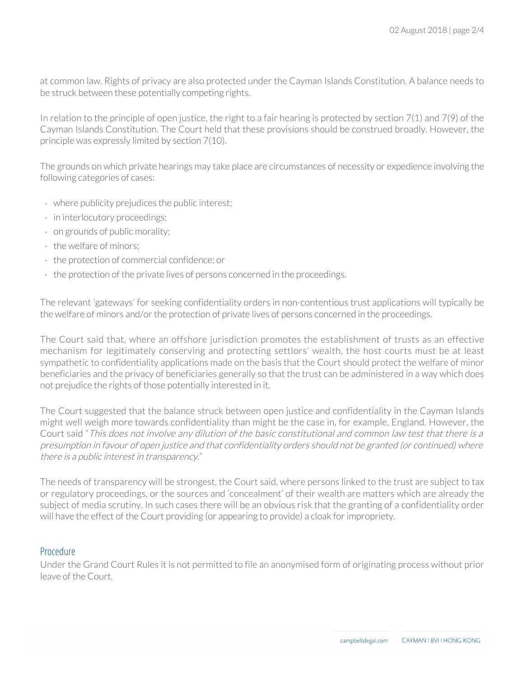at common law. Rights of privacy are also protected under the Cayman Islands Constitution. A balance needs to be struck between these potentially competing rights.

In relation to the principle of open justice, the right to a fair hearing is protected by section 7(1) and 7(9) of the Cayman Islands Constitution. The Court held that these provisions should be construed broadly. However, the principle was expressly limited by section 7(10).

The grounds on which private hearings may take place are circumstances of necessity or expedience involving the following categories of cases:

- where publicity prejudices the public interest;
- in interlocutory proceedings;
- on grounds of public morality;
- the welfare of minors;
- the protection of commercial confidence; or
- the protection of the private lives of persons concerned in the proceedings.

The relevant 'gateways' for seeking confidentiality orders in non-contentious trust applications will typically be the welfare of minors and/or the protection of private lives of persons concerned in the proceedings.

The Court said that, where an offshore jurisdiction promotes the establishment of trusts as an effective mechanism for legitimately conserving and protecting settlors' wealth, the host courts must be at least sympathetic to confidentiality applications made on the basis that the Court should protect the welfare of minor beneficiaries and the privacy of beneficiaries generally so that the trust can be administered in a way which does not prejudice the rights of those potentially interested in it.

The Court suggested that the balance struck between open justice and confidentiality in the Cayman Islands might well weigh more towards confidentiality than might be the case in, for example, England. However, the Court said "This does not involve any dilution of the basic constitutional and common law test that there is a presumption in favour of open justice and that confidentiality orders should not be granted (or continued) where there is a public interest in transparency."

The needs of transparency will be strongest, the Court said, where persons linked to the trust are subject to tax or regulatory proceedings, or the sources and 'concealment' of their wealth are matters which are already the subject of media scrutiny. In such cases there will be an obvious risk that the granting of a confidentiality order will have the effect of the Court providing (or appearing to provide) a cloak for impropriety.

#### Procedure

Under the Grand Court Rules it is not permitted to file an anonymised form of originating process without prior leave of the Court.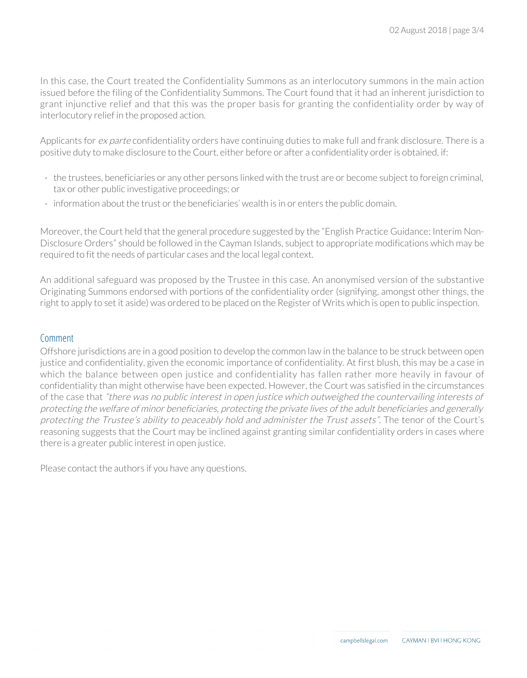In this case, the Court treated the Confidentiality Summons as an interlocutory summons in the main action issued before the filing of the Confidentiality Summons. The Court found that it had an inherent jurisdiction to grant injunctive relief and that this was the proper basis for granting the confidentiality order by way of interlocutory relief in the proposed action.

Applicants for ex parte confidentiality orders have continuing duties to make full and frank disclosure. There is a positive duty to make disclosure to the Court, either before or after a confidentiality order is obtained, if:

- the trustees, beneficiaries or any other persons linked with the trust are or become subject to foreign criminal, tax or other public investigative proceedings; or
- information about the trust or the beneficiaries' wealth is in or enters the public domain.

Moreover, the Court held that the general procedure suggested by the "English Practice Guidance: Interim Non-Disclosure Orders" should be followed in the Cayman Islands, subject to appropriate modifications which may be required to fit the needs of particular cases and the local legal context.

An additional safeguard was proposed by the Trustee in this case. An anonymised version of the substantive Originating Summons endorsed with portions of the confidentiality order (signifying, amongst other things, the right to apply to set it aside) was ordered to be placed on the Register of Writs which is open to public inspection.

#### Comment

Offshore jurisdictions are in a good position to develop the common law in the balance to be struck between open justice and confidentiality, given the economic importance of confidentiality. At first blush, this may be a case in which the balance between open justice and confidentiality has fallen rather more heavily in favour of confidentiality than might otherwise have been expected. However, the Court was satisfied in the circumstances of the case that "there was no public interest in open justice which outweighed the countervailing interests of protecting the welfare of minor beneficiaries, protecting the private lives of the adult beneficiaries and generally protecting the Trustee's ability to peaceably hold and administer the Trust assets". The tenor of the Court's reasoning suggests that the Court may be inclined against granting similar confidentiality orders in cases where there is a greater public interest in open justice.

Please contact the authors if you have any questions.